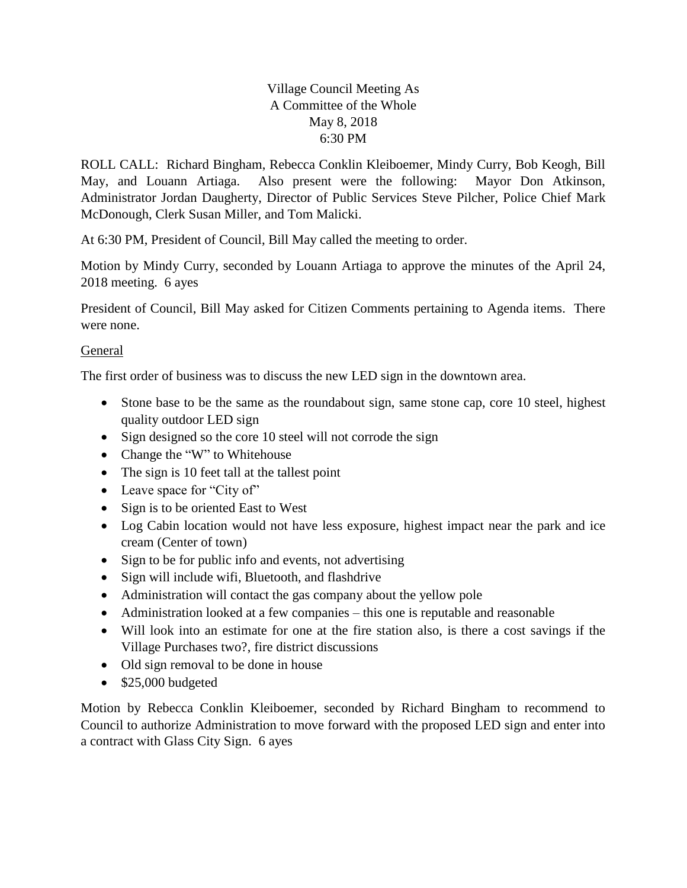## Village Council Meeting As A Committee of the Whole May 8, 2018 6:30 PM

ROLL CALL: Richard Bingham, Rebecca Conklin Kleiboemer, Mindy Curry, Bob Keogh, Bill May, and Louann Artiaga. Also present were the following: Mayor Don Atkinson, Administrator Jordan Daugherty, Director of Public Services Steve Pilcher, Police Chief Mark McDonough, Clerk Susan Miller, and Tom Malicki.

At 6:30 PM, President of Council, Bill May called the meeting to order.

Motion by Mindy Curry, seconded by Louann Artiaga to approve the minutes of the April 24, 2018 meeting. 6 ayes

President of Council, Bill May asked for Citizen Comments pertaining to Agenda items. There were none.

## General

The first order of business was to discuss the new LED sign in the downtown area.

- Stone base to be the same as the roundabout sign, same stone cap, core 10 steel, highest quality outdoor LED sign
- Sign designed so the core 10 steel will not corrode the sign
- Change the "W" to Whitehouse
- The sign is 10 feet tall at the tallest point
- Leave space for "City of"
- Sign is to be oriented East to West
- Log Cabin location would not have less exposure, highest impact near the park and ice cream (Center of town)
- Sign to be for public info and events, not advertising
- Sign will include wifi, Bluetooth, and flashdrive
- Administration will contact the gas company about the yellow pole
- Administration looked at a few companies this one is reputable and reasonable
- Will look into an estimate for one at the fire station also, is there a cost savings if the Village Purchases two?, fire district discussions
- Old sign removal to be done in house
- $\bullet$  \$25,000 budgeted

Motion by Rebecca Conklin Kleiboemer, seconded by Richard Bingham to recommend to Council to authorize Administration to move forward with the proposed LED sign and enter into a contract with Glass City Sign. 6 ayes